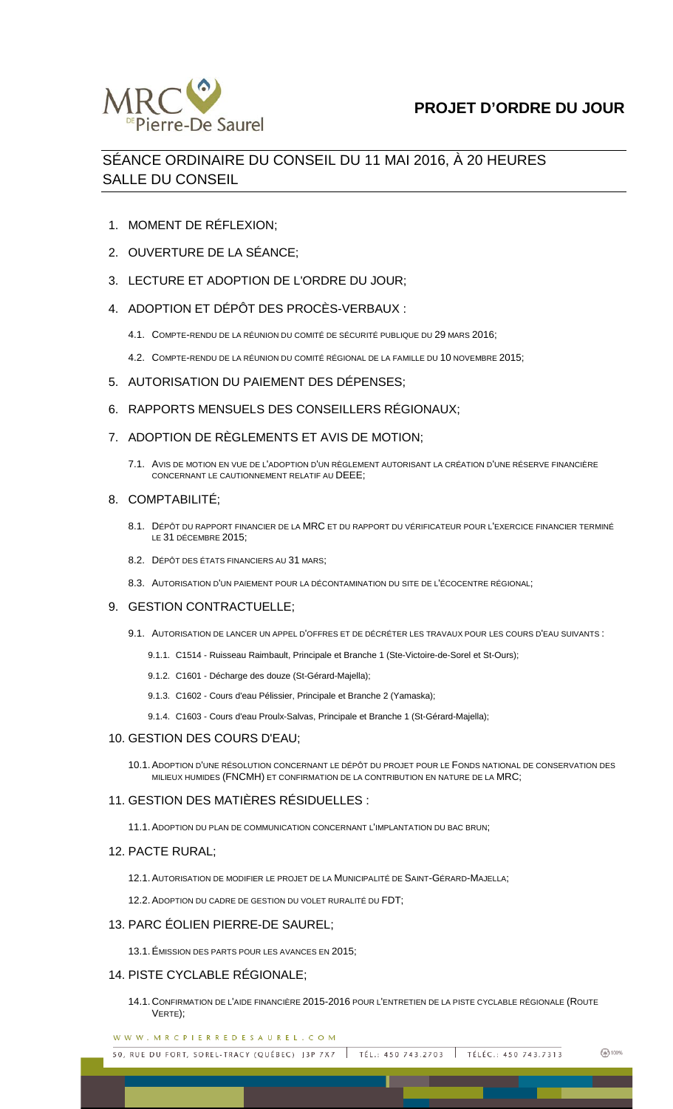

# SÉANCE ORDINAIRE DU CONSEIL DU 11 MAI 2016, À 20 HEURES SALLE DU CONSEIL

- 1. MOMENT DE RÉFLEXION;
- 2. OUVERTURE DE LA SÉANCE;
- 3. LECTURE ET ADOPTION DE L'ORDRE DU JOUR;
- 4. ADOPTION ET DÉPÔT DES PROCÈS-VERBAUX :
	- 4.1. COMPTE-RENDU DE LA RÉUNION DU COMITÉ DE SÉCURITÉ PUBLIQUE DU 29 MARS 2016;
	- 4.2. COMPTE-RENDU DE LA RÉUNION DU COMITÉ RÉGIONAL DE LA FAMILLE DU 10 NOVEMBRE 2015;
- 5. AUTORISATION DU PAIEMENT DES DÉPENSES;
- 6. RAPPORTS MENSUELS DES CONSEILLERS RÉGIONAUX;
- 7. ADOPTION DE RÈGLEMENTS ET AVIS DE MOTION;
	- 7.1. AVIS DE MOTION EN VUE DE L'ADOPTION D'UN RÈGLEMENT AUTORISANT LA CRÉATION D'UNE RÉSERVE FINANCIÈRE CONCERNANT LE CAUTIONNEMENT RELATIF AU DEEE;

## 8. COMPTABILITÉ;

- 8.1. DÉPÔT DU RAPPORT FINANCIER DE LA MRC ET DU RAPPORT DU VÉRIFICATEUR POUR L'EXERCICE FINANCIER TERMINÉ LE 31 DÉCEMBRE 2015;
- 8.2. DÉPÔT DES ÉTATS FINANCIERS AU 31 MARS;
- 8.3. AUTORISATION D'UN PAIEMENT POUR LA DÉCONTAMINATION DU SITE DE L'ÉCOCENTRE RÉGIONAL;

#### 9. GESTION CONTRACTUELLE;

- 9.1. AUTORISATION DE LANCER UN APPEL D'OFFRES ET DE DÉCRÉTER LES TRAVAUX POUR LES COURS D'EAU SUIVANTS :
	- 9.1.1. C1514 Ruisseau Raimbault, Principale et Branche 1 (Ste-Victoire-de-Sorel et St-Ours);
	- 9.1.2. C1601 Décharge des douze (St-Gérard-Majella);
	- 9.1.3. C1602 Cours d'eau Pélissier, Principale et Branche 2 (Yamaska);
	- 9.1.4. C1603 Cours d'eau Proulx-Salvas, Principale et Branche 1 (St-Gérard-Majella);

#### 10. GESTION DES COURS D'EAU;

10.1.ADOPTION D'UNE RÉSOLUTION CONCERNANT LE DÉPÔT DU PROJET POUR LE FONDS NATIONAL DE CONSERVATION DES MILIEUX HUMIDES (FNCMH) ET CONFIRMATION DE LA CONTRIBUTION EN NATURE DE LA MRC;

## 11. GESTION DES MATIÈRES RÉSIDUELLES :

11.1.ADOPTION DU PLAN DE COMMUNICATION CONCERNANT L'IMPLANTATION DU BAC BRUN;

#### 12. PACTE RURAL;

12.1.AUTORISATION DE MODIFIER LE PROJET DE LA MUNICIPALITÉ DE SAINT-GÉRARD-MAJELLA;

12.2.ADOPTION DU CADRE DE GESTION DU VOLET RURALITÉ DU FDT;

## 13. PARC ÉOLIEN PIERRE-DE SAUREL;

13.1.ÉMISSION DES PARTS POUR LES AVANCES EN 2015;

## 14. PISTE CYCLABLE RÉGIONALE;

14.1. CONFIRMATION DE L'AIDE FINANCIÈRE 2015-2016 POUR L'ENTRETIEN DE LA PISTE CYCLABLE RÉGIONALE (ROUTE VERTE);

WWW.MRCPIERREDESAUREL.COM